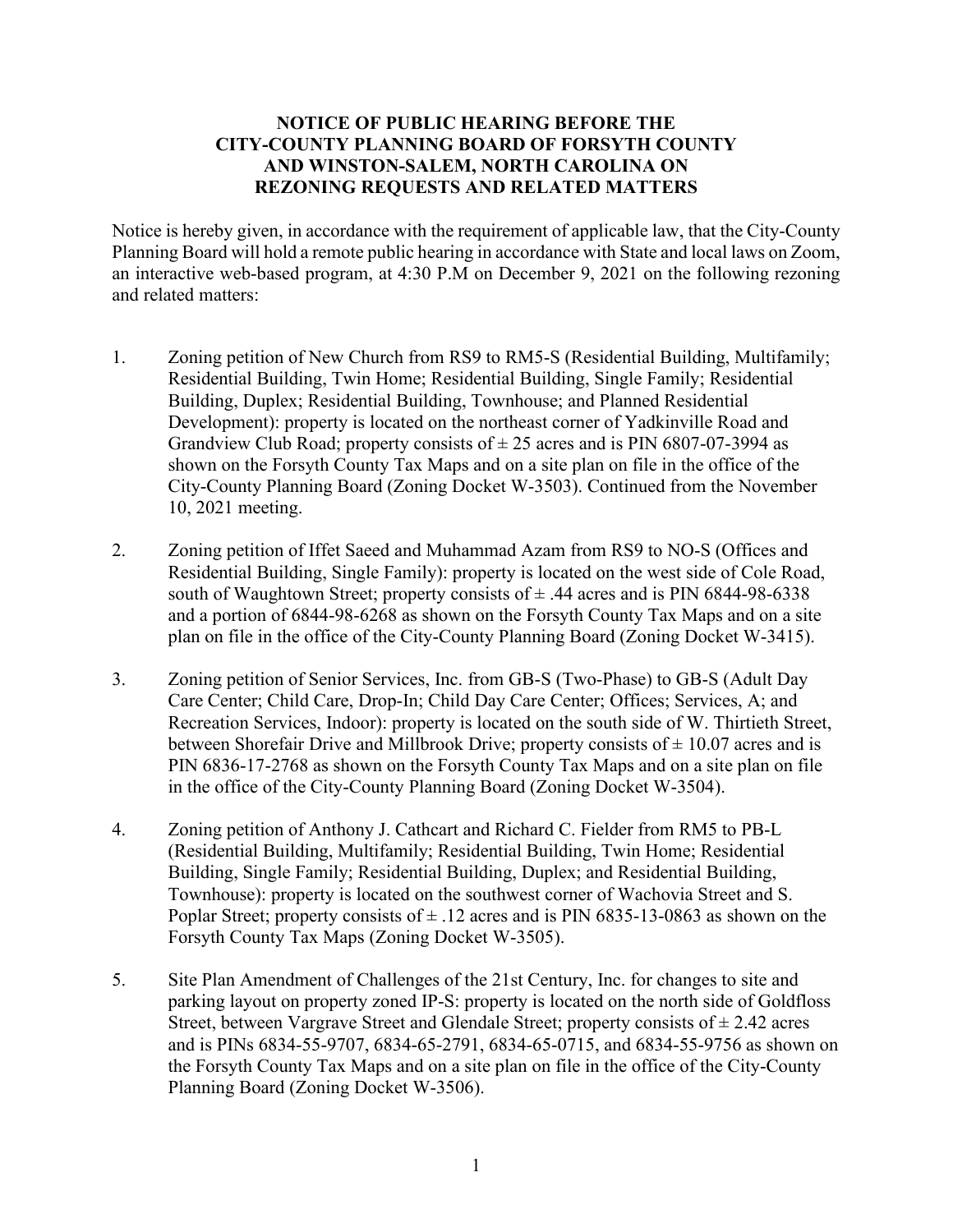## **NOTICE OF PUBLIC HEARING BEFORE THE CITY-COUNTY PLANNING BOARD OF FORSYTH COUNTY AND WINSTON-SALEM, NORTH CAROLINA ON REZONING REQUESTS AND RELATED MATTERS**

Notice is hereby given, in accordance with the requirement of applicable law, that the City-County Planning Board will hold a remote public hearing in accordance with State and local laws on Zoom, an interactive web-based program, at 4:30 P.M on December 9, 2021 on the following rezoning and related matters:

- 1. Zoning petition of New Church from RS9 to RM5-S (Residential Building, Multifamily; Residential Building, Twin Home; Residential Building, Single Family; Residential Building, Duplex; Residential Building, Townhouse; and Planned Residential Development): property is located on the northeast corner of Yadkinville Road and Grandview Club Road; property consists of  $\pm 25$  acres and is PIN 6807-07-3994 as shown on the Forsyth County Tax Maps and on a site plan on file in the office of the City-County Planning Board (Zoning Docket W-3503). Continued from the November 10, 2021 meeting.
- 2. Zoning petition of Iffet Saeed and Muhammad Azam from RS9 to NO-S (Offices and Residential Building, Single Family): property is located on the west side of Cole Road, south of Waughtown Street; property consists of  $\pm$  .44 acres and is PIN 6844-98-6338 and a portion of 6844-98-6268 as shown on the Forsyth County Tax Maps and on a site plan on file in the office of the City-County Planning Board (Zoning Docket W-3415).
- 3. Zoning petition of Senior Services, Inc. from GB-S (Two-Phase) to GB-S (Adult Day Care Center; Child Care, Drop-In; Child Day Care Center; Offices; Services, A; and Recreation Services, Indoor): property is located on the south side of W. Thirtieth Street, between Shorefair Drive and Millbrook Drive; property consists of  $\pm$  10.07 acres and is PIN 6836-17-2768 as shown on the Forsyth County Tax Maps and on a site plan on file in the office of the City-County Planning Board (Zoning Docket W-3504).
- 4. Zoning petition of Anthony J. Cathcart and Richard C. Fielder from RM5 to PB-L (Residential Building, Multifamily; Residential Building, Twin Home; Residential Building, Single Family; Residential Building, Duplex; and Residential Building, Townhouse): property is located on the southwest corner of Wachovia Street and S. Poplar Street; property consists of  $\pm$  .12 acres and is PIN 6835-13-0863 as shown on the Forsyth County Tax Maps (Zoning Docket W-3505).
- 5. Site Plan Amendment of Challenges of the 21st Century, Inc. for changes to site and parking layout on property zoned IP-S: property is located on the north side of Goldfloss Street, between Vargrave Street and Glendale Street; property consists of  $\pm 2.42$  acres and is PINs 6834-55-9707, 6834-65-2791, 6834-65-0715, and 6834-55-9756 as shown on the Forsyth County Tax Maps and on a site plan on file in the office of the City-County Planning Board (Zoning Docket W-3506).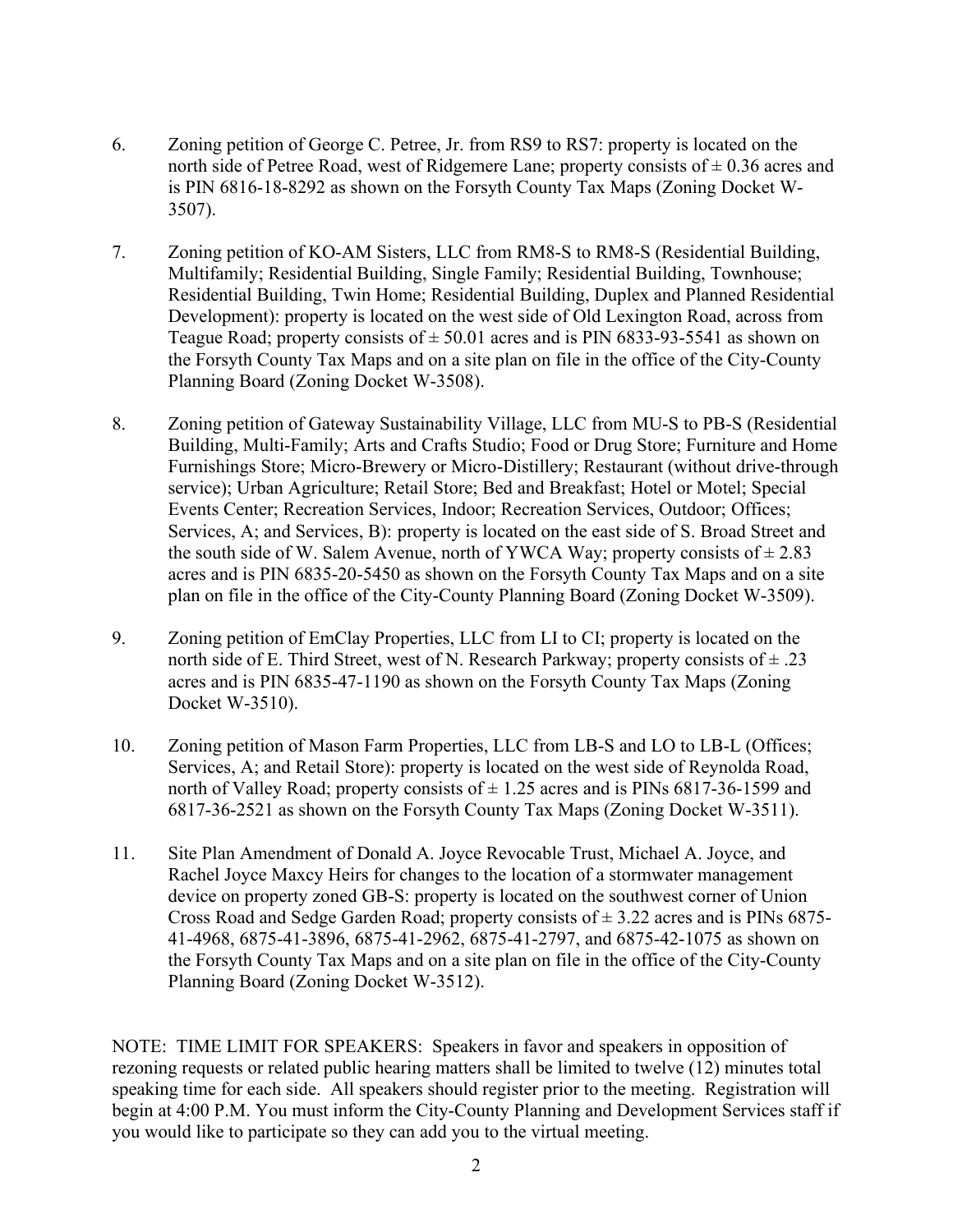- 6. Zoning petition of George C. Petree, Jr. from RS9 to RS7: property is located on the north side of Petree Road, west of Ridgemere Lane; property consists of  $\pm$  0.36 acres and is PIN 6816-18-8292 as shown on the Forsyth County Tax Maps (Zoning Docket W-3507).
- 7. Zoning petition of KO-AM Sisters, LLC from RM8-S to RM8-S (Residential Building, Multifamily; Residential Building, Single Family; Residential Building, Townhouse; Residential Building, Twin Home; Residential Building, Duplex and Planned Residential Development): property is located on the west side of Old Lexington Road, across from Teague Road; property consists of  $\pm$  50.01 acres and is PIN 6833-93-5541 as shown on the Forsyth County Tax Maps and on a site plan on file in the office of the City-County Planning Board (Zoning Docket W-3508).
- 8. Zoning petition of Gateway Sustainability Village, LLC from MU-S to PB-S (Residential Building, Multi-Family; Arts and Crafts Studio; Food or Drug Store; Furniture and Home Furnishings Store; Micro-Brewery or Micro-Distillery; Restaurant (without drive-through service); Urban Agriculture; Retail Store; Bed and Breakfast; Hotel or Motel; Special Events Center; Recreation Services, Indoor; Recreation Services, Outdoor; Offices; Services, A; and Services, B): property is located on the east side of S. Broad Street and the south side of W. Salem Avenue, north of YWCA Way; property consists of  $\pm 2.83$ acres and is PIN 6835-20-5450 as shown on the Forsyth County Tax Maps and on a site plan on file in the office of the City-County Planning Board (Zoning Docket W-3509).
- 9. Zoning petition of EmClay Properties, LLC from LI to CI; property is located on the north side of E. Third Street, west of N. Research Parkway; property consists of  $\pm$  .23 acres and is PIN 6835-47-1190 as shown on the Forsyth County Tax Maps (Zoning Docket W-3510).
- 10. Zoning petition of Mason Farm Properties, LLC from LB-S and LO to LB-L (Offices; Services, A; and Retail Store): property is located on the west side of Reynolda Road, north of Valley Road; property consists of  $\pm$  1.25 acres and is PINs 6817-36-1599 and 6817-36-2521 as shown on the Forsyth County Tax Maps (Zoning Docket W-3511).
- 11. Site Plan Amendment of Donald A. Joyce Revocable Trust, Michael A. Joyce, and Rachel Joyce Maxcy Heirs for changes to the location of a stormwater management device on property zoned GB-S: property is located on the southwest corner of Union Cross Road and Sedge Garden Road; property consists of  $\pm$  3.22 acres and is PINs 6875-41-4968, 6875-41-3896, 6875-41-2962, 6875-41-2797, and 6875-42-1075 as shown on the Forsyth County Tax Maps and on a site plan on file in the office of the City-County Planning Board (Zoning Docket W-3512).

NOTE: TIME LIMIT FOR SPEAKERS: Speakers in favor and speakers in opposition of rezoning requests or related public hearing matters shall be limited to twelve (12) minutes total speaking time for each side. All speakers should register prior to the meeting. Registration will begin at 4:00 P.M. You must inform the City-County Planning and Development Services staff if you would like to participate so they can add you to the virtual meeting.